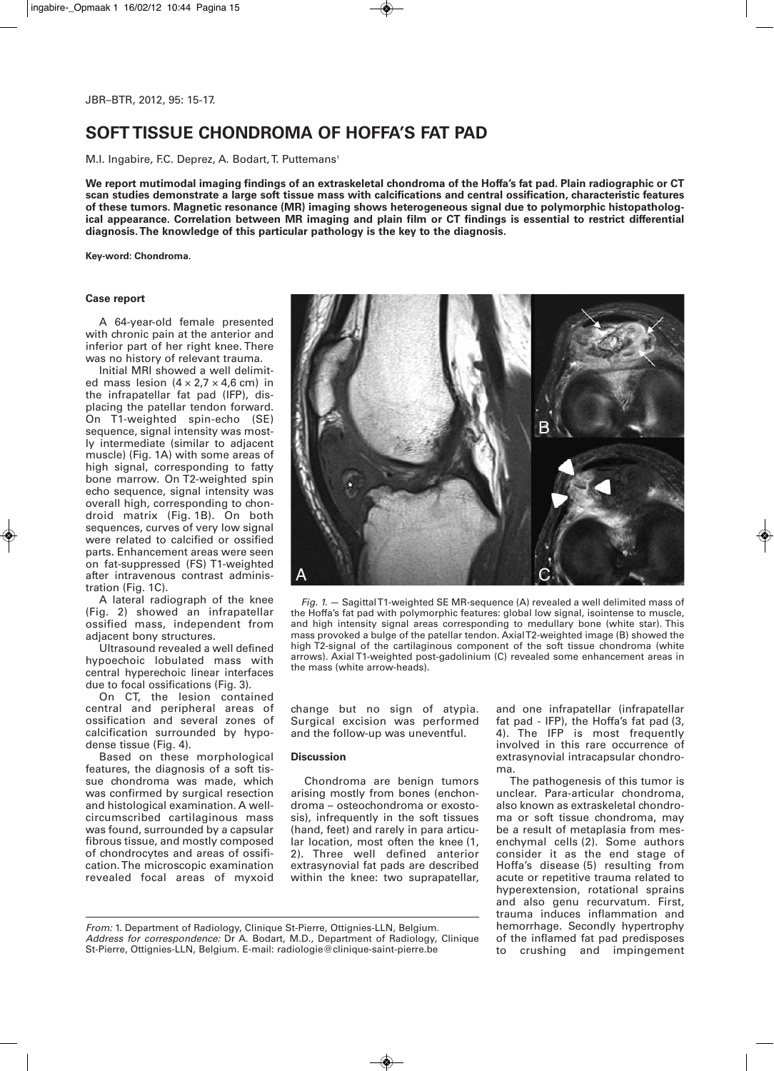# **SOFT TISSUE CHONDROMA OF HOFFA'S FAT PAD**

M.I. Ingabire, F.C. Deprez, A. Bodart, T. Puttemans<sup>1</sup>

We report mutimodal imaging findings of an extraskeletal chondroma of the Hoffa's fat pad. Plain radiographic or CT **scan studies demonstrate a large soft tissue mass with calcifications and central ossification, characteristic features of these tumors. Magnetic resonance (MR) imaging shows heterogeneous signal due to polymorphic histopatholog**ical appearance. Correlation between MR imaging and plain film or CT findings is essential to restrict differential **diagnosis.The knowledge of this particular pathology is the key to the diagnosis.**

**Key-word: Chondroma.**

### **Case report**

A 64-year-old female presented with chronic pain at the anterior and inferior part of her right knee. There was no history of relevant trauma.

Initial MRI showed a well delimited mass lesion  $(4 \times 2.7 \times 4.6$  cm) in the infrapatellar fat pad (IFP), displacing the patellar tendon forward. On T1-weighted spin-echo (SE) sequence, signal intensity was mostly intermediate (similar to adjacent muscle) (Fig. 1A) with some areas of high signal, corresponding to fatty bone marrow. On T2-weighted spin echo sequence, signal intensity was overall high, corresponding to chondroid matrix (Fig. 1B). On both sequences, curves of very low signal were related to calcified or ossified parts. Enhancement areas were seen on fat-suppressed (FS) T1-weighted after intravenous contrast administration (Fig. 1C).

A lateral radiograph of the knee (Fig. 2) showed an infrapatellar ossified mass, independent from adjacent bony structures.

Ultrasound revealed a well defined hypoechoic lobulated mass with central hyperechoic linear interfaces due to focal ossifications (Fig. 3).

On CT, the lesion contained central and peripheral areas of ossification and several zones of calcification surrounded by hypodense tissue (Fig. 4).

Based on these morphological features, the diagnosis of a soft tissue chondroma was made, which was confirmed by surgical resection and histological examination. A wellcircumscribed cartilaginous mass was found, surrounded by a capsular fibrous tissue, and mostly composed of chondrocytes and areas of ossification.The microscopic examination revealed focal areas of myxoid



*Fig. 1.* — SagittalT1-weighted SE MR-sequence (A) revealed a well delimited mass of the Hoffa's fat pad with polymorphic features: global low signal, isointense to muscle, and high intensity signal areas corresponding to medullary bone (white star). This mass provoked a bulge of the patellar tendon. AxialT2-weighted image (B) showed the high T2-signal of the cartilaginous component of the soft tissue chondroma (white arrows). Axial T1-weighted post-gadolinium (C) revealed some enhancement areas in the mass (white arrow-heads).

change but no sign of atypia. Surgical excision was performed and the follow-up was uneventful.

## **Discussion**

Chondroma are benign tumors arising mostly from bones (enchondroma – osteochondroma or exostosis), infrequently in the soft tissues (hand, feet) and rarely in para articular location, most often the knee (1, 2). Three well defined anterior extrasynovial fat pads are described within the knee: two suprapatellar, and one infrapatellar (infrapatellar fat pad - IFP), the Hoffa's fat pad (3, 4). The IFP is most frequently involved in this rare occurrence of extrasynovial intracapsular chondroma.

The pathogenesis of this tumor is unclear. Para-articular chondroma, also known as extraskeletal chondroma or soft tissue chondroma, may be a result of metaplasia from mesenchymal cells (2). Some authors consider it as the end stage of Hoffa's disease (5) resulting from acute or repetitive trauma related to hyperextension, rotational sprains and also genu recurvatum. First, trauma induces inflammation and hemorrhage. Secondly hypertrophy of the inflamed fat pad predisposes to crushing and impingement

*From:* 1. Department of Radiology, Clinique St-Pierre, Ottignies-LLN, Belgium. *Address for correspondence:* Dr A. Bodart, M.D., Department of Radiology, Clinique St-Pierre, Ottignies-LLN, Belgium. E-mail: radiologie@clinique-saint-pierre.be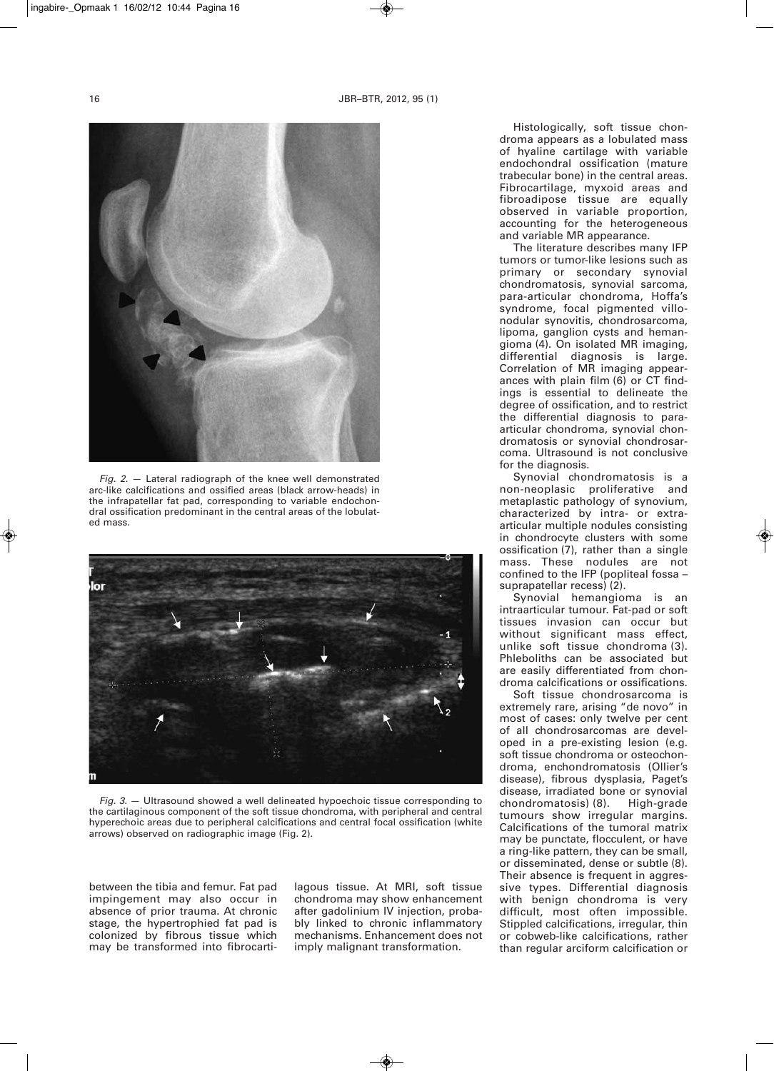

*Fig. 2.* — Lateral radiograph of the knee well demonstrated arc-like calcifications and ossified areas (black arrow-heads) in the infrapatellar fat pad, corresponding to variable endochondral ossification predominant in the central areas of the lobulated mass.



*Fig. 3.* — Ultrasound showed a well delineated hypoechoic tissue corresponding to the cartilaginous component of the soft tissue chondroma, with peripheral and central hyperechoic areas due to peripheral calcifications and central focal ossification (white arrows) observed on radiographic image (Fig. 2).

between the tibia and femur. Fat pad impingement may also occur in absence of prior trauma. At chronic stage, the hypertrophied fat pad is colonized by fibrous tissue which may be transformed into fibrocartilagous tissue. At MRI, soft tissue chondroma may show enhancement after gadolinium IV injection, probably linked to chronic inflammatory mechanisms. Enhancement does not imply malignant transformation.

Histologically, soft tissue chondroma appears as a lobulated mass of hyaline cartilage with variable endochondral ossification (mature trabecular bone) in the central areas. Fibrocartilage, myxoid areas and fibroadipose tissue are equally observed in variable proportion, accounting for the heterogeneous and variable MR appearance.

The literature describes many IFP tumors or tumor-like lesions such as primary or secondary synovial chondromatosis, synovial sarcoma, para-articular chondroma, Hoffa's syndrome, focal pigmented villonodular synovitis, chondrosarcoma, lipoma, ganglion cysts and hemangioma (4). On isolated MR imaging, differential diagnosis is large. Correlation of MR imaging appearances with plain film (6) or CT findings is essential to delineate the degree of ossification, and to restrict the differential diagnosis to paraarticular chondroma, synovial chondromatosis or synovial chondrosarcoma. Ultrasound is not conclusive for the diagnosis.

Synovial chondromatosis is a non-neoplasic proliferative and metaplastic pathology of synovium, characterized by intra- or extraarticular multiple nodules consisting in chondrocyte clusters with some ossification (7), rather than a single mass. These nodules are not confined to the IFP (popliteal fossa – suprapatellar recess) (2).

Synovial hemangioma is an intraarticular tumour. Fat-pad or soft tissues invasion can occur but without significant mass effect, unlike soft tissue chondroma (3). Phleboliths can be associated but are easily differentiated from chondroma calcifications or ossifications.

Soft tissue chondrosarcoma is extremely rare, arising "de novo" in most of cases: only twelve per cent of all chondrosarcomas are developed in a pre-existing lesion (e.g. soft tissue chondroma or osteochondroma, enchondromatosis (Ollier's disease), fibrous dysplasia, Paget's disease, irradiated bone or synovial<br>chondromatosis) (8). High-grade chondromatosis) (8). tumours show irregular margins. Calcifications of the tumoral matrix may be punctate, flocculent, or have a ring-like pattern, they can be small, or disseminated, dense or subtle (8). Their absence is frequent in aggressive types. Differential diagnosis with benign chondroma is very difficult, most often impossible. Stippled calcifications, irregular, thin or cobweb-like calcifications, rather than regular arciform calcification or